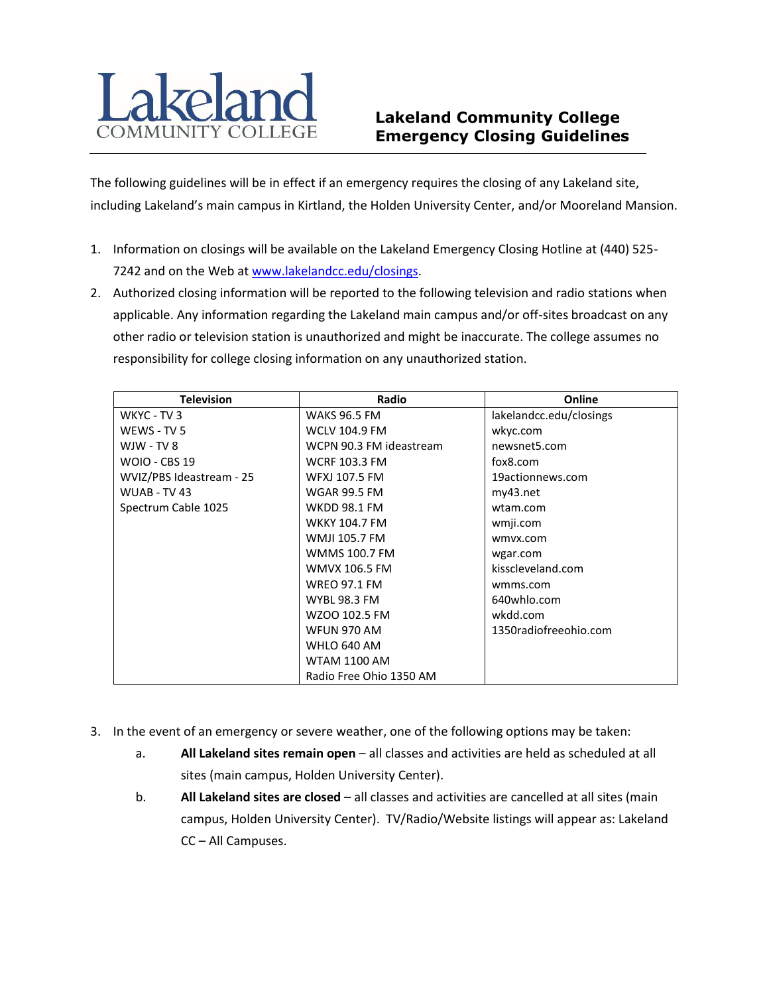

## **Lakeland Community College Emergency Closing Guidelines**

The following guidelines will be in effect if an emergency requires the closing of any Lakeland site, including Lakeland's main campus in Kirtland, the Holden University Center, and/or Mooreland Mansion.

- 1. Information on closings will be available on the Lakeland Emergency Closing Hotline at (440) 525- 7242 and on the Web a[t www.lakelandcc.edu/closings.](http://www.lakelandcc.edu/closings)
- 2. Authorized closing information will be reported to the following television and radio stations when applicable. Any information regarding the Lakeland main campus and/or off-sites broadcast on any other radio or television station is unauthorized and might be inaccurate. The college assumes no responsibility for college closing information on any unauthorized station.

| <b>Television</b>        | Radio                   | Online                  |
|--------------------------|-------------------------|-------------------------|
| WKYC - TV 3              | <b>WAKS 96.5 FM</b>     | lakelandcc.edu/closings |
| WEWS - TV 5              | <b>WCLV 104.9 FM</b>    | wkyc.com                |
| $WJW - TV 8$             | WCPN 90.3 FM ideastream | newsnet5.com            |
| <b>WOIO - CBS 19</b>     | <b>WCRF 103.3 FM</b>    | fox8.com                |
| WVIZ/PBS Ideastream - 25 | <b>WFXJ 107.5 FM</b>    | 19actionnews.com        |
| WUAB - TV 43             | <b>WGAR 99.5 FM</b>     | my43.net                |
| Spectrum Cable 1025      | <b>WKDD 98.1 FM</b>     | wtam.com                |
|                          | <b>WKKY 104.7 FM</b>    | wmji.com                |
|                          | <b>WMJI 105.7 FM</b>    | wmyx.com                |
|                          | <b>WMMS 100.7 FM</b>    | wgar.com                |
|                          | <b>WMVX 106.5 FM</b>    | kisscleveland.com       |
|                          | <b>WREO 97.1 FM</b>     | wmms.com                |
|                          | <b>WYBL 98.3 FM</b>     | 640whlo.com             |
|                          | WZOO 102.5 FM           | wkdd.com                |
|                          | <b>WFUN 970 AM</b>      | 1350radiofreeohio.com   |
|                          | WHLO 640 AM             |                         |
|                          | <b>WTAM 1100 AM</b>     |                         |
|                          | Radio Free Ohio 1350 AM |                         |

- 3. In the event of an emergency or severe weather, one of the following options may be taken:
	- a. **All Lakeland sites remain open** all classes and activities are held as scheduled at all sites (main campus, Holden University Center).
	- b. **All Lakeland sites are closed** all classes and activities are cancelled at all sites (main campus, Holden University Center). TV/Radio/Website listings will appear as: Lakeland CC – All Campuses.